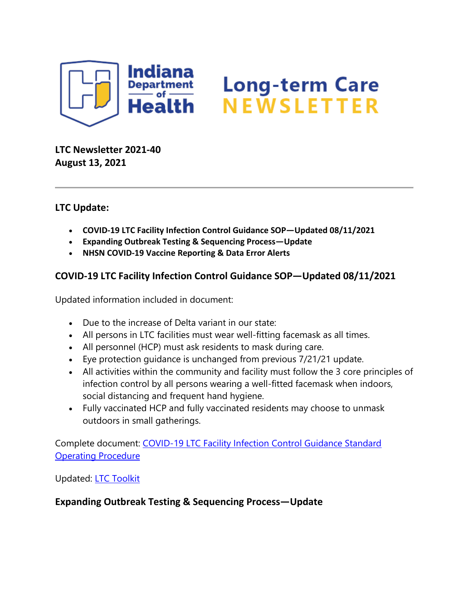

# Long-term Care<br>NEWSLETTER

**LTC Newsletter 2021-40 August 13, 2021**

## **LTC Update:**

- **COVID-19 LTC Facility Infection Control Guidance SOP—Updated 08/11/2021**
- **Expanding Outbreak Testing & Sequencing Process—Update**
- **NHSN COVID-19 Vaccine Reporting & Data Error Alerts**

## **COVID-19 LTC Facility Infection Control Guidance SOP—Updated 08/11/2021**

Updated information included in document:

- Due to the increase of Delta variant in our state:
- All persons in LTC facilities must wear well-fitting facemask as all times.
- All personnel (HCP) must ask residents to mask during care.
- Eye protection guidance is unchanged from previous 7/21/21 update.
- All activities within the community and facility must follow the 3 core principles of infection control by all persons wearing a well-fitted facemask when indoors, social distancing and frequent hand hygiene.
- Fully vaccinated HCP and fully vaccinated residents may choose to unmask outdoors in small gatherings.

Complete document: [COVID-19 LTC Facility Infection Control Guidance Standard](https://www.coronavirus.in.gov/files/IN_COVID-19%20LTC%20SOP%20checklist%2008.11.21.pdf)  [Operating Procedure](https://www.coronavirus.in.gov/files/IN_COVID-19%20LTC%20SOP%20checklist%2008.11.21.pdf)

Updated: [LTC Toolkit](https://www.coronavirus.in.gov/files/IN_COVID-19%20IP%20Toolkit%20ISDH_8.11.21.pdf)

**Expanding Outbreak Testing & Sequencing Process—Update**